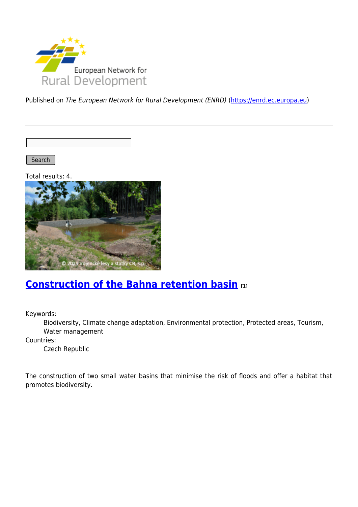

Published on The European Network for Rural Development (ENRD) [\(https://enrd.ec.europa.eu](https://enrd.ec.europa.eu))

Search

Total results: 4.



### **[Construction of the Bahna retention basin](https://enrd.ec.europa.eu/projects-practice/construction-bahna-retention-basin_en) [1]**

Keywords:

Biodiversity, Climate change adaptation, Environmental protection, Protected areas, Tourism, Water management

Countries:

Czech Republic

The construction of two small water basins that minimise the risk of floods and offer a habitat that promotes biodiversity.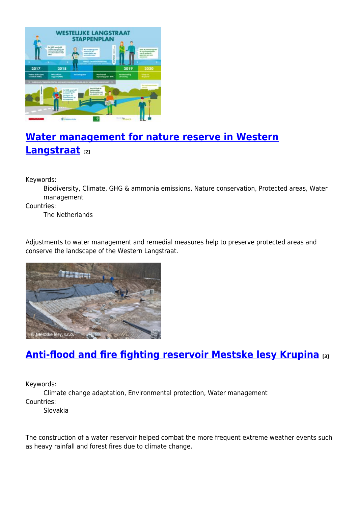

# **[Water management for nature reserve in Western](https://enrd.ec.europa.eu/projects-practice/water-management-nature-reserve-western-langstraat_en) [Langstraat](https://enrd.ec.europa.eu/projects-practice/water-management-nature-reserve-western-langstraat_en) [2]**

Keywords:

Biodiversity, Climate, GHG & ammonia emissions, Nature conservation, Protected areas, Water management

Countries:

The Netherlands

Adjustments to water management and remedial measures help to preserve protected areas and conserve the landscape of the Western Langstraat.



## **[Anti-flood and fire fighting reservoir Mestske lesy Krupina](https://enrd.ec.europa.eu/projects-practice/anti-flood-and-fire-fighting-reservoir-mestske-lesy-krupina_en) [3]**

Keywords:

Climate change adaptation, Environmental protection, Water management Countries:

Slovakia

The construction of a water reservoir helped combat the more frequent extreme weather events such as heavy rainfall and forest fires due to climate change.